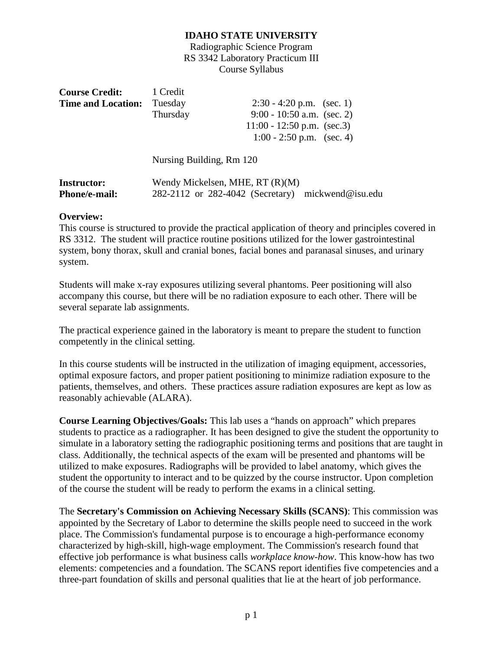Radiographic Science Program RS 3342 Laboratory Practicum III Course Syllabus

| <b>Course Credit:</b>     | 1 Credit |                              |  |
|---------------------------|----------|------------------------------|--|
| <b>Time and Location:</b> | Tuesday  | $2:30 - 4:20$ p.m. (sec. 1)  |  |
|                           | Thursday | $9:00 - 10:50$ a.m. (sec. 2) |  |
|                           |          | 11:00 - 12:50 p.m. (sec.3)   |  |
|                           |          | $1:00 - 2:50$ p.m. (sec. 4)  |  |

Nursing Building, Rm 120

| <b>Instructor:</b>   | Wendy Mickelsen, MHE, $RT(R)(M)$                  |  |
|----------------------|---------------------------------------------------|--|
| <b>Phone/e-mail:</b> | 282-2112 or 282-4042 (Secretary) mickwend@isu.edu |  |

#### **Overview:**

This course is structured to provide the practical application of theory and principles covered in RS 3312. The student will practice routine positions utilized for the lower gastrointestinal system, bony thorax, skull and cranial bones, facial bones and paranasal sinuses, and urinary system.

Students will make x-ray exposures utilizing several phantoms. Peer positioning will also accompany this course, but there will be no radiation exposure to each other. There will be several separate lab assignments.

The practical experience gained in the laboratory is meant to prepare the student to function competently in the clinical setting.

In this course students will be instructed in the utilization of imaging equipment, accessories, optimal exposure factors, and proper patient positioning to minimize radiation exposure to the patients, themselves, and others. These practices assure radiation exposures are kept as low as reasonably achievable (ALARA).

**Course Learning Objectives/Goals:** This lab uses a "hands on approach" which prepares students to practice as a radiographer. It has been designed to give the student the opportunity to simulate in a laboratory setting the radiographic positioning terms and positions that are taught in class. Additionally, the technical aspects of the exam will be presented and phantoms will be utilized to make exposures. Radiographs will be provided to label anatomy, which gives the student the opportunity to interact and to be quizzed by the course instructor. Upon completion of the course the student will be ready to perform the exams in a clinical setting.

The **Secretary's Commission on Achieving Necessary Skills (SCANS)**: This commission was appointed by the Secretary of Labor to determine the skills people need to succeed in the work place. The Commission's fundamental purpose is to encourage a high-performance economy characterized by high-skill, high-wage employment. The Commission's research found that effective job performance is what business calls *workplace know-how*. This know-how has two elements: competencies and a foundation. The SCANS report identifies five competencies and a three-part foundation of skills and personal qualities that lie at the heart of job performance.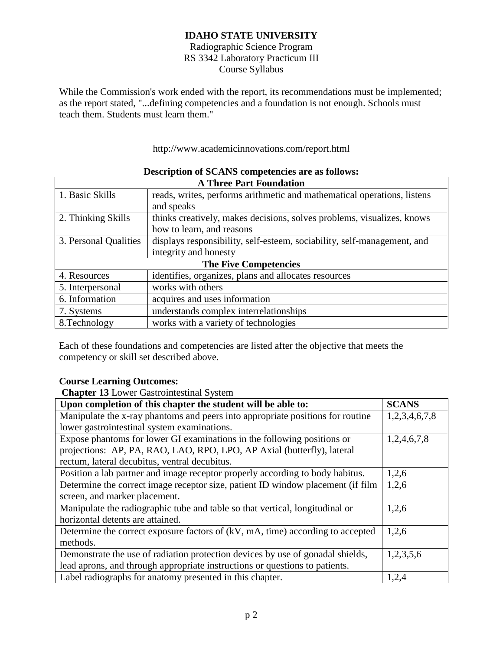Radiographic Science Program RS 3342 Laboratory Practicum III Course Syllabus

While the Commission's work ended with the report, its recommendations must be implemented; as the report stated, "...defining competencies and a foundation is not enough. Schools must teach them. Students must learn them."

http://www.academicinnovations.com/report.html

| <b>A Three Part Foundation</b> |                                                                         |  |  |
|--------------------------------|-------------------------------------------------------------------------|--|--|
| 1. Basic Skills                | reads, writes, performs arithmetic and mathematical operations, listens |  |  |
|                                | and speaks                                                              |  |  |
| 2. Thinking Skills             | thinks creatively, makes decisions, solves problems, visualizes, knows  |  |  |
|                                | how to learn, and reasons                                               |  |  |
| 3. Personal Qualities          | displays responsibility, self-esteem, sociability, self-management, and |  |  |
| integrity and honesty          |                                                                         |  |  |
| <b>The Five Competencies</b>   |                                                                         |  |  |
| 4. Resources                   | identifies, organizes, plans and allocates resources                    |  |  |
| 5. Interpersonal               | works with others                                                       |  |  |
| 6. Information                 | acquires and uses information                                           |  |  |
| 7. Systems                     | understands complex interrelationships                                  |  |  |
| 8. Technology                  | works with a variety of technologies                                    |  |  |

#### **Description of SCANS competencies are as follows:**

Each of these foundations and competencies are listed after the objective that meets the competency or skill set described above.

#### **Course Learning Outcomes:**

**Chapter 13** Lower Gastrointestinal System

| Upon completion of this chapter the student will be able to:                    | <b>SCANS</b>  |
|---------------------------------------------------------------------------------|---------------|
| Manipulate the x-ray phantoms and peers into appropriate positions for routine  | 1,2,3,4,6,7,8 |
| lower gastrointestinal system examinations.                                     |               |
| Expose phantoms for lower GI examinations in the following positions or         | 1,2,4,6,7,8   |
| projections: AP, PA, RAO, LAO, RPO, LPO, AP Axial (butterfly), lateral          |               |
| rectum, lateral decubitus, ventral decubitus.                                   |               |
| Position a lab partner and image receptor properly according to body habitus.   | 1,2,6         |
| Determine the correct image receptor size, patient ID window placement (if film | 1,2,6         |
| screen, and marker placement.                                                   |               |
| Manipulate the radiographic tube and table so that vertical, longitudinal or    | 1,2,6         |
| horizontal detents are attained.                                                |               |
| Determine the correct exposure factors of (kV, mA, time) according to accepted  | 1,2,6         |
| methods.                                                                        |               |
| Demonstrate the use of radiation protection devices by use of gonadal shields,  | 1,2,3,5,6     |
| lead aprons, and through appropriate instructions or questions to patients.     |               |
| Label radiographs for anatomy presented in this chapter.                        | 1,2,4         |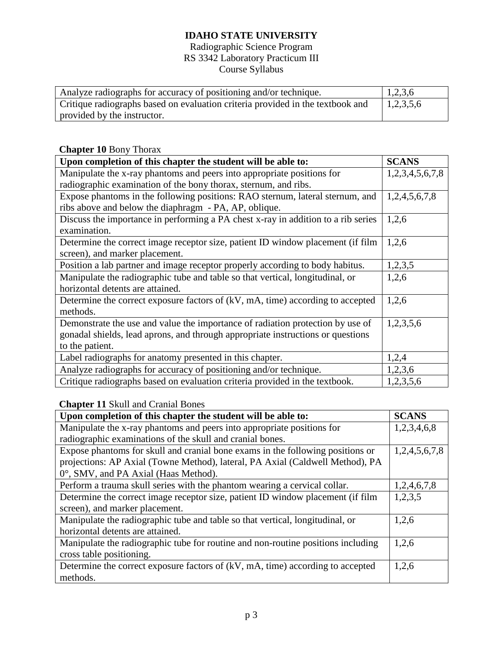## Radiographic Science Program RS 3342 Laboratory Practicum III Course Syllabus

| Analyze radiographs for accuracy of positioning and/or technique.              | 1,2,3,6   |
|--------------------------------------------------------------------------------|-----------|
| Critique radiographs based on evaluation criteria provided in the textbook and | 1,2,3,5,6 |
| provided by the instructor.                                                    |           |

# **Chapter 10** Bony Thorax

| Upon completion of this chapter the student will be able to:                      | <b>SCANS</b>    |  |
|-----------------------------------------------------------------------------------|-----------------|--|
| Manipulate the x-ray phantoms and peers into appropriate positions for            | 1,2,3,4,5,6,7,8 |  |
| radiographic examination of the bony thorax, sternum, and ribs.                   |                 |  |
| Expose phantoms in the following positions: RAO sternum, lateral sternum, and     | 1,2,4,5,6,7,8   |  |
| ribs above and below the diaphragm - PA, AP, oblique.                             |                 |  |
| Discuss the importance in performing a PA chest x-ray in addition to a rib series | 1,2,6           |  |
| examination.                                                                      |                 |  |
| Determine the correct image receptor size, patient ID window placement (if film   | 1,2,6           |  |
| screen), and marker placement.                                                    |                 |  |
| Position a lab partner and image receptor properly according to body habitus.     | 1,2,3,5         |  |
| Manipulate the radiographic tube and table so that vertical, longitudinal, or     | 1,2,6           |  |
| horizontal detents are attained.                                                  |                 |  |
| Determine the correct exposure factors of $(kV, mA, time)$ according to accepted  | 1,2,6           |  |
| methods.                                                                          |                 |  |
| Demonstrate the use and value the importance of radiation protection by use of    | 1,2,3,5,6       |  |
| gonadal shields, lead aprons, and through appropriate instructions or questions   |                 |  |
| to the patient.                                                                   |                 |  |
| Label radiographs for anatomy presented in this chapter.                          | 1,2,4           |  |
| Analyze radiographs for accuracy of positioning and/or technique.                 | 1,2,3,6         |  |
| Critique radiographs based on evaluation criteria provided in the textbook.       | 1,2,3,5,6       |  |

# **Chapter 11** Skull and Cranial Bones

| Upon completion of this chapter the student will be able to:                     | <b>SCANS</b>  |
|----------------------------------------------------------------------------------|---------------|
| Manipulate the x-ray phantoms and peers into appropriate positions for           | 1,2,3,4,6,8   |
| radiographic examinations of the skull and cranial bones.                        |               |
| Expose phantoms for skull and cranial bone exams in the following positions or   | 1,2,4,5,6,7,8 |
| projections: AP Axial (Towne Method), lateral, PA Axial (Caldwell Method), PA    |               |
| 0°, SMV, and PA Axial (Haas Method).                                             |               |
| Perform a trauma skull series with the phantom wearing a cervical collar.        | 1,2,4,6,7,8   |
| Determine the correct image receptor size, patient ID window placement (if film  | 1,2,3,5       |
| screen), and marker placement.                                                   |               |
| Manipulate the radiographic tube and table so that vertical, longitudinal, or    | 1,2,6         |
| horizontal detents are attained.                                                 |               |
| Manipulate the radiographic tube for routine and non-routine positions including | 1,2,6         |
| cross table positioning.                                                         |               |
| Determine the correct exposure factors of (kV, mA, time) according to accepted   | 1,2,6         |
| methods.                                                                         |               |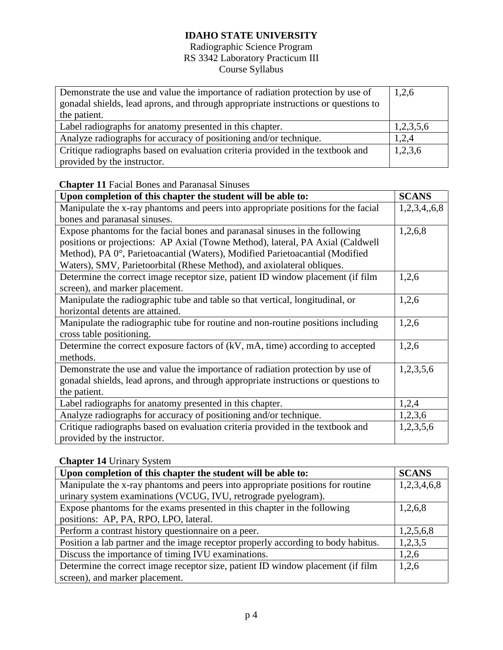## Radiographic Science Program RS 3342 Laboratory Practicum III Course Syllabus

| Demonstrate the use and value the importance of radiation protection by use of<br>gonadal shields, lead aprons, and through appropriate instructions or questions to | 1,2,6 |
|----------------------------------------------------------------------------------------------------------------------------------------------------------------------|-------|
| the patient.                                                                                                                                                         |       |
| Label radiographs for anatomy presented in this chapter.                                                                                                             |       |
| Analyze radiographs for accuracy of positioning and/or technique.                                                                                                    |       |
| Critique radiographs based on evaluation criteria provided in the textbook and                                                                                       |       |
| provided by the instructor.                                                                                                                                          |       |

## **Chapter 11** Facial Bones and Paranasal Sinuses

| Upon completion of this chapter the student will be able to:                                                      |         |  |
|-------------------------------------------------------------------------------------------------------------------|---------|--|
| Manipulate the x-ray phantoms and peers into appropriate positions for the facial                                 |         |  |
| bones and paranasal sinuses.                                                                                      |         |  |
| Expose phantoms for the facial bones and paranasal sinuses in the following                                       | 1,2,6,8 |  |
| positions or projections: AP Axial (Towne Method), lateral, PA Axial (Caldwell)                                   |         |  |
| Method), PA 0°, Parietoacantial (Waters), Modified Parietoacantial (Modified                                      |         |  |
| Waters), SMV, Parietoorbital (Rhese Method), and axiolateral obliques.                                            |         |  |
| Determine the correct image receptor size, patient ID window placement (if film<br>screen), and marker placement. | 1,2,6   |  |
| Manipulate the radiographic tube and table so that vertical, longitudinal, or                                     | 1,2,6   |  |
| horizontal detents are attained.                                                                                  |         |  |
| Manipulate the radiographic tube for routine and non-routine positions including                                  |         |  |
| cross table positioning.                                                                                          |         |  |
| Determine the correct exposure factors of (kV, mA, time) according to accepted                                    |         |  |
| methods.                                                                                                          |         |  |
| Demonstrate the use and value the importance of radiation protection by use of                                    |         |  |
| gonadal shields, lead aprons, and through appropriate instructions or questions to                                |         |  |
| the patient.                                                                                                      |         |  |
| Label radiographs for anatomy presented in this chapter.                                                          |         |  |
| Analyze radiographs for accuracy of positioning and/or technique.                                                 |         |  |
| Critique radiographs based on evaluation criteria provided in the textbook and                                    |         |  |
| provided by the instructor.                                                                                       |         |  |

### **Chapter 14** Urinary System

| Upon completion of this chapter the student will be able to:                      |  |  |
|-----------------------------------------------------------------------------------|--|--|
| Manipulate the x-ray phantoms and peers into appropriate positions for routine    |  |  |
| urinary system examinations (VCUG, IVU, retrograde pyelogram).                    |  |  |
| Expose phantoms for the exams presented in this chapter in the following          |  |  |
| positions: AP, PA, RPO, LPO, lateral.                                             |  |  |
| Perform a contrast history questionnaire on a peer.                               |  |  |
| Position a lab partner and the image receptor properly according to body habitus. |  |  |
| Discuss the importance of timing IVU examinations.                                |  |  |
| Determine the correct image receptor size, patient ID window placement (if film   |  |  |
| screen), and marker placement.                                                    |  |  |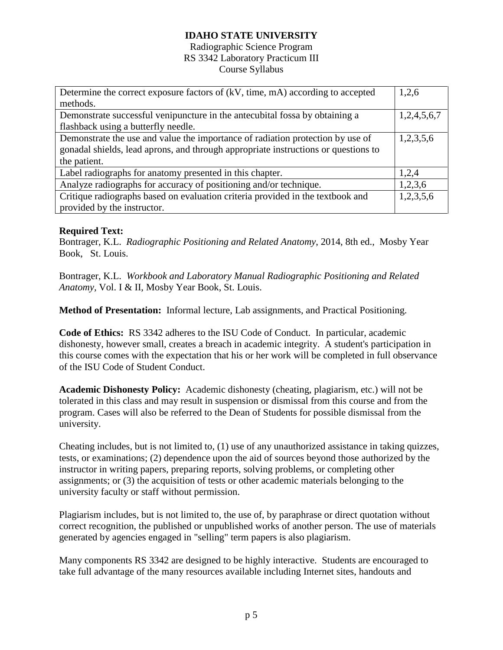#### Radiographic Science Program RS 3342 Laboratory Practicum III Course Syllabus

| Determine the correct exposure factors of (kV, time, mA) according to accepted     | 1,2,6       |  |
|------------------------------------------------------------------------------------|-------------|--|
| methods.                                                                           |             |  |
| Demonstrate successful venipuncture in the antecubital fossa by obtaining a        | 1,2,4,5,6,7 |  |
| flashback using a butterfly needle.                                                |             |  |
| Demonstrate the use and value the importance of radiation protection by use of     |             |  |
| gonadal shields, lead aprons, and through appropriate instructions or questions to |             |  |
| the patient.                                                                       |             |  |
| Label radiographs for anatomy presented in this chapter.                           | 1,2,4       |  |
| Analyze radiographs for accuracy of positioning and/or technique.                  | 1,2,3,6     |  |
| Critique radiographs based on evaluation criteria provided in the textbook and     | 1,2,3,5,6   |  |
| provided by the instructor.                                                        |             |  |

#### **Required Text:**

Bontrager, K.L. *Radiographic Positioning and Related Anatomy*, 2014, 8th ed., Mosby Year Book, St. Louis.

Bontrager, K.L. *Workbook and Laboratory Manual Radiographic Positioning and Related Anatomy,* Vol. I & II, Mosby Year Book, St. Louis.

**Method of Presentation:** Informal lecture, Lab assignments, and Practical Positioning.

**Code of Ethics:** RS 3342 adheres to the ISU Code of Conduct. In particular, academic dishonesty, however small, creates a breach in academic integrity. A student's participation in this course comes with the expectation that his or her work will be completed in full observance of the ISU Code of Student Conduct.

**Academic Dishonesty Policy:** Academic dishonesty (cheating, plagiarism, etc.) will not be tolerated in this class and may result in suspension or dismissal from this course and from the program. Cases will also be referred to the Dean of Students for possible dismissal from the university.

Cheating includes, but is not limited to, (1) use of any unauthorized assistance in taking quizzes, tests, or examinations; (2) dependence upon the aid of sources beyond those authorized by the instructor in writing papers, preparing reports, solving problems, or completing other assignments; or (3) the acquisition of tests or other academic materials belonging to the university faculty or staff without permission.

Plagiarism includes, but is not limited to, the use of, by paraphrase or direct quotation without correct recognition, the published or unpublished works of another person. The use of materials generated by agencies engaged in "selling" term papers is also plagiarism.

Many components RS 3342 are designed to be highly interactive. Students are encouraged to take full advantage of the many resources available including Internet sites, handouts and